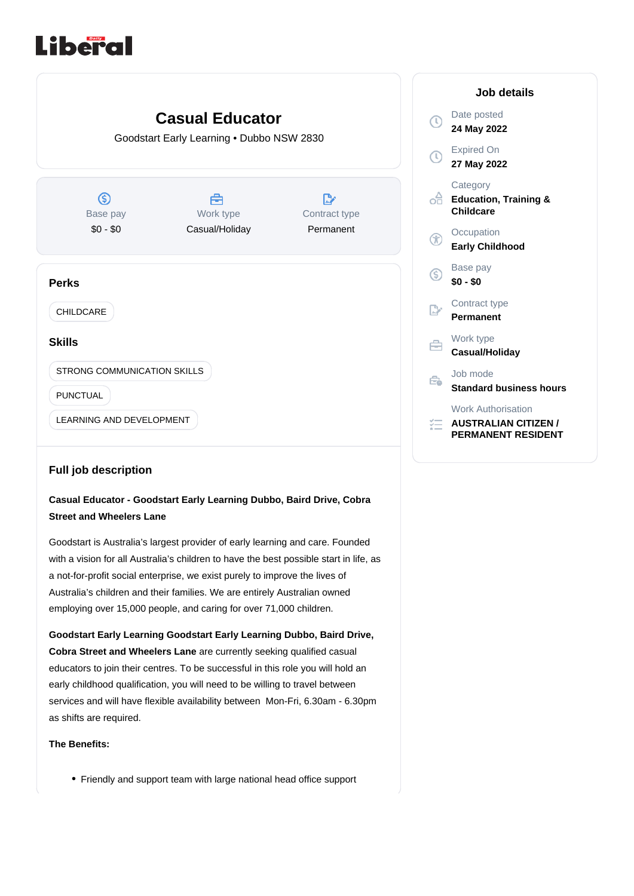# Liberal



## **Full job description**

# **Casual Educator - Goodstart Early Learning Dubbo, Baird Drive, Cobra Street and Wheelers Lane**

Goodstart is Australia's largest provider of early learning and care. Founded with a vision for all Australia's children to have the best possible start in life, as a not-for-profit social enterprise, we exist purely to improve the lives of Australia's children and their families. We are entirely Australian owned employing over 15,000 people, and caring for over 71,000 children.

**Cobra Street and Wheelers Lane** are currently seeking qualified casual educators to join their centres. To be successful in this role you will hold an early childhood qualification, you will need to be willing to travel between services and will have flexible availability between Mon-Fri, 6.30am - 6.30pm as shifts are required. **Goodstart Early Learning Goodstart Early Learning Dubbo, Baird Drive,** 

## **The Benefits:**

Friendly and support team with large national head office support